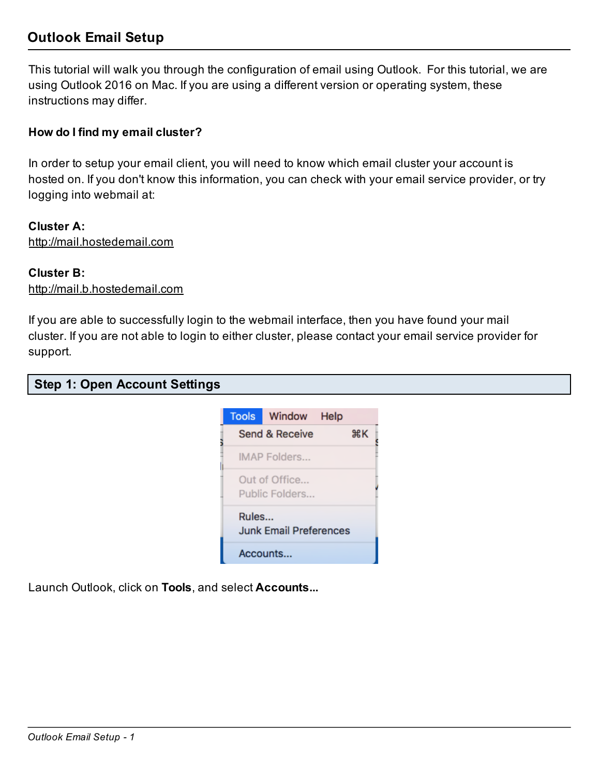# Outlook Email Setup

This tutorial will walk you through the configuration of email using Outlook. For this tutorial, we are using Outlook 2016 on Mac. If you are using a different version or operating system, these instructions may differ.

### How do I find my email cluster?

In order to setup your email client, you will need to know which email cluster your account is hosted on. If you don't know this information, you can check with your email service provider, or try logging into webmail at:

#### Cluster A:

http://mail.hostedemail.com

#### Cluster B:

http://mail.b.hostedemail.com

If you are able to successfully login to the webmail interface, then you have found your mail cluster. If you are not able to login to either cluster, please contact your email service provider for support.

|  |  | <b>Step 1: Open Account Settings</b> |  |
|--|--|--------------------------------------|--|
|--|--|--------------------------------------|--|



Launch Outlook, click on Tools, and select Accounts...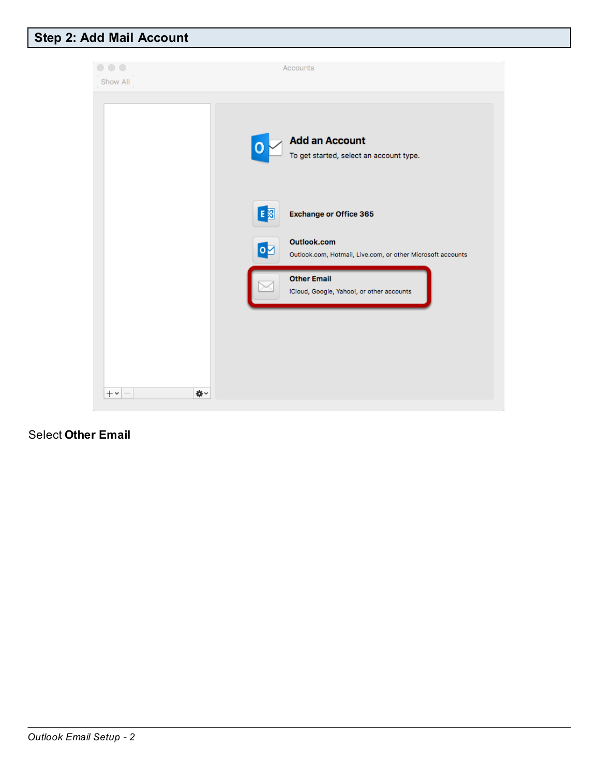# Step 2: Add Mail Account



## Select Other Email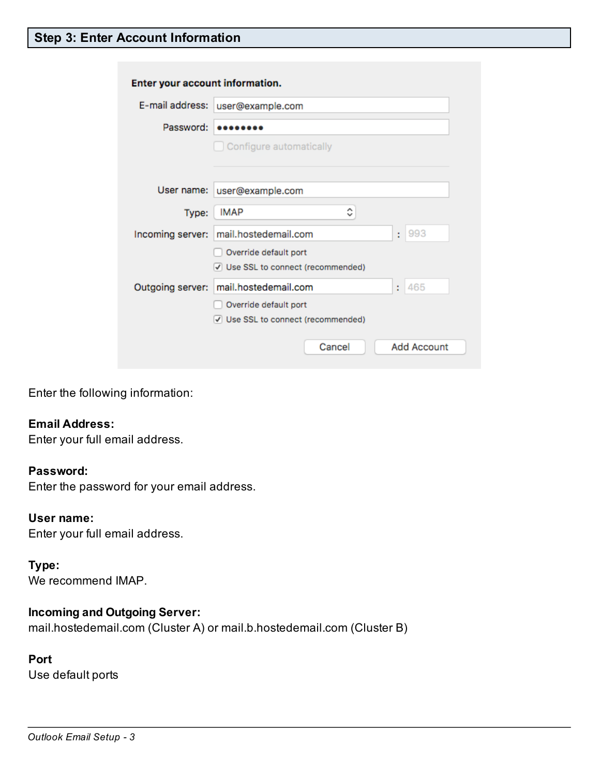# Step 3: Enter Account Information

| Enter your account information. |                                                             |             |  |  |  |
|---------------------------------|-------------------------------------------------------------|-------------|--|--|--|
| E-mail address:                 | user@example.com                                            |             |  |  |  |
| Password:                       |                                                             |             |  |  |  |
|                                 | Configure automatically                                     |             |  |  |  |
| User name:                      | user@example.com                                            |             |  |  |  |
| Type:                           | ≎<br><b>IMAP</b>                                            |             |  |  |  |
| Incoming server:                | mail.hostedemail.com                                        | 993<br>÷    |  |  |  |
|                                 | Override default port<br>√ Use SSL to connect (recommended) |             |  |  |  |
| Outgoing server:                | mail.hostedemail.com                                        | 465<br>÷.   |  |  |  |
|                                 | Override default port<br>√ Use SSL to connect (recommended) |             |  |  |  |
|                                 | Cancel                                                      | Add Account |  |  |  |

Enter the following information:

#### Email Address:

Enter your full email address.

#### Password:

Enter the password for your email address.

#### User name:

Enter your full email address.

#### Type:

We recommend IMAP.

### Incoming and Outgoing Server:

mail.hostedemail.com (Cluster A) or mail.b.hostedemail.com (Cluster B)

## Port

Use default ports